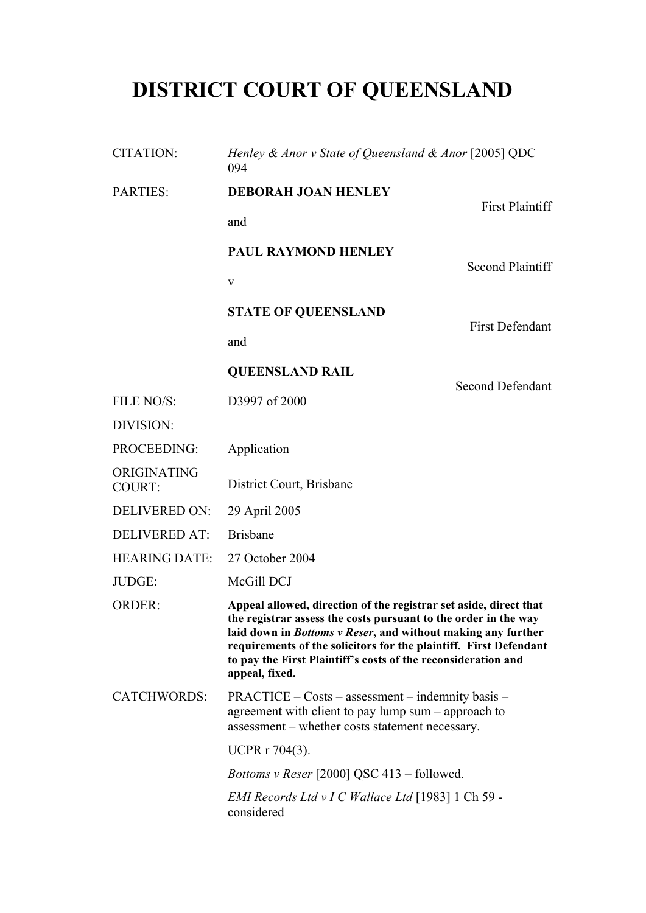# **DISTRICT COURT OF QUEENSLAND**

| <b>CITATION:</b>      | Henley & Anor v State of Queensland & Anor [2005] QDC<br>094                                                                                                                                                                                                                                                                                                 |                         |  |
|-----------------------|--------------------------------------------------------------------------------------------------------------------------------------------------------------------------------------------------------------------------------------------------------------------------------------------------------------------------------------------------------------|-------------------------|--|
| <b>PARTIES:</b>       | <b>DEBORAH JOAN HENLEY</b>                                                                                                                                                                                                                                                                                                                                   |                         |  |
|                       | and                                                                                                                                                                                                                                                                                                                                                          | <b>First Plaintiff</b>  |  |
|                       | PAUL RAYMOND HENLEY                                                                                                                                                                                                                                                                                                                                          | <b>Second Plaintiff</b> |  |
|                       | V                                                                                                                                                                                                                                                                                                                                                            |                         |  |
|                       | <b>STATE OF QUEENSLAND</b>                                                                                                                                                                                                                                                                                                                                   |                         |  |
|                       | and                                                                                                                                                                                                                                                                                                                                                          | <b>First Defendant</b>  |  |
|                       | <b>QUEENSLAND RAIL</b>                                                                                                                                                                                                                                                                                                                                       |                         |  |
| FILE NO/S:            | D3997 of 2000                                                                                                                                                                                                                                                                                                                                                | <b>Second Defendant</b> |  |
| DIVISION:             |                                                                                                                                                                                                                                                                                                                                                              |                         |  |
| PROCEEDING:           | Application                                                                                                                                                                                                                                                                                                                                                  |                         |  |
| ORIGINATING<br>COURT: | District Court, Brisbane                                                                                                                                                                                                                                                                                                                                     |                         |  |
| <b>DELIVERED ON:</b>  | 29 April 2005                                                                                                                                                                                                                                                                                                                                                |                         |  |
| <b>DELIVERED AT:</b>  | <b>Brisbane</b>                                                                                                                                                                                                                                                                                                                                              |                         |  |
| <b>HEARING DATE:</b>  | 27 October 2004                                                                                                                                                                                                                                                                                                                                              |                         |  |
| JUDGE:                | McGill DCJ                                                                                                                                                                                                                                                                                                                                                   |                         |  |
| <b>ORDER:</b>         | Appeal allowed, direction of the registrar set aside, direct that<br>the registrar assess the costs pursuant to the order in the way<br>laid down in Bottoms v Reser, and without making any further<br>requirements of the solicitors for the plaintiff. First Defendant<br>to pay the First Plaintiff's costs of the reconsideration and<br>appeal, fixed. |                         |  |
| <b>CATCHWORDS:</b>    | PRACTICE – Costs – assessment – indemnity basis –<br>agreement with client to pay lump sum – approach to<br>assessment - whether costs statement necessary.                                                                                                                                                                                                  |                         |  |
|                       | <b>UCPR r 704(3).</b>                                                                                                                                                                                                                                                                                                                                        |                         |  |
|                       | <i>Bottoms v Reser</i> [2000] QSC 413 – followed.                                                                                                                                                                                                                                                                                                            |                         |  |
|                       | EMI Records Ltd v I C Wallace Ltd [1983] 1 Ch 59 -<br>considered                                                                                                                                                                                                                                                                                             |                         |  |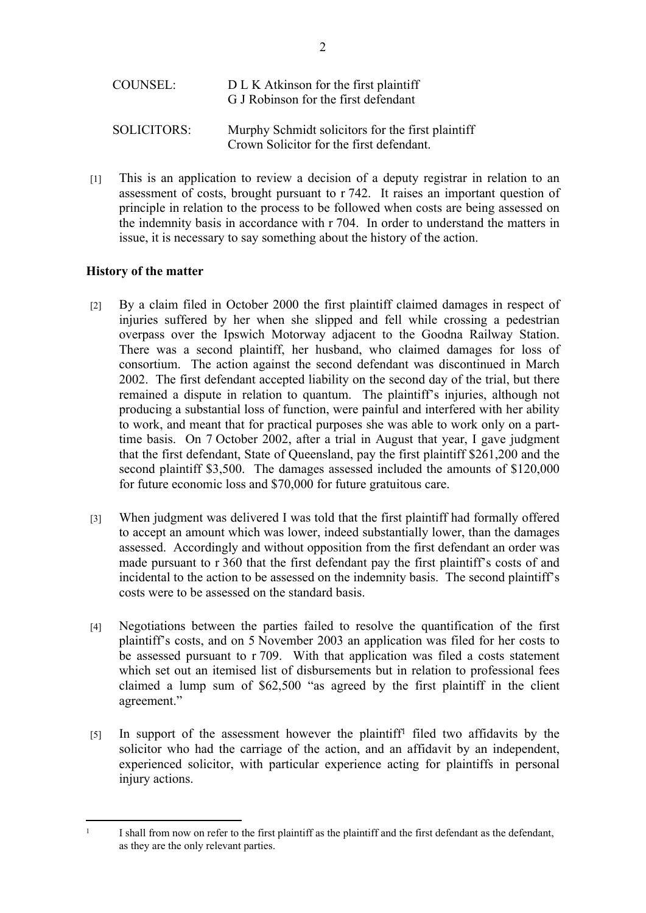| COUNSEL:    | D L K Atkinson for the first plaintiff<br>G J Robinson for the first defendant                |
|-------------|-----------------------------------------------------------------------------------------------|
| SOLICITORS: | Murphy Schmidt solicitors for the first plaintiff<br>Crown Solicitor for the first defendant. |

[1] This is an application to review a decision of a deputy registrar in relation to an assessment of costs, brought pursuant to r 742. It raises an important question of principle in relation to the process to be followed when costs are being assessed on the indemnity basis in accordance with r 704. In order to understand the matters in issue, it is necessary to say something about the history of the action.

# **History of the matter**

- [2] By a claim filed in October 2000 the first plaintiff claimed damages in respect of injuries suffered by her when she slipped and fell while crossing a pedestrian overpass over the Ipswich Motorway adjacent to the Goodna Railway Station. There was a second plaintiff, her husband, who claimed damages for loss of consortium. The action against the second defendant was discontinued in March 2002. The first defendant accepted liability on the second day of the trial, but there remained a dispute in relation to quantum. The plaintiff's injuries, although not producing a substantial loss of function, were painful and interfered with her ability to work, and meant that for practical purposes she was able to work only on a parttime basis. On 7 October 2002, after a trial in August that year, I gave judgment that the first defendant, State of Queensland, pay the first plaintiff \$261,200 and the second plaintiff \$3,500. The damages assessed included the amounts of \$120,000 for future economic loss and \$70,000 for future gratuitous care.
- [3] When judgment was delivered I was told that the first plaintiff had formally offered to accept an amount which was lower, indeed substantially lower, than the damages assessed. Accordingly and without opposition from the first defendant an order was made pursuant to r 360 that the first defendant pay the first plaintiff's costs of and incidental to the action to be assessed on the indemnity basis. The second plaintiff's costs were to be assessed on the standard basis.
- [4] Negotiations between the parties failed to resolve the quantification of the first plaintiff's costs, and on 5 November 2003 an application was filed for her costs to be assessed pursuant to r 709. With that application was filed a costs statement which set out an itemised list of disbursements but in relation to professional fees claimed a lump sum of \$62,500 "as agreed by the first plaintiff in the client agreement."
- [5] In support of the assessment however the plaintiff<sup>1</sup> filed two affidavits by the solicitor who had the carriage of the action, and an affidavit by an independent, experienced solicitor, with particular experience acting for plaintiffs in personal injury actions.

<sup>1</sup> I shall from now on refer to the first plaintiff as the plaintiff and the first defendant as the defendant, as they are the only relevant parties.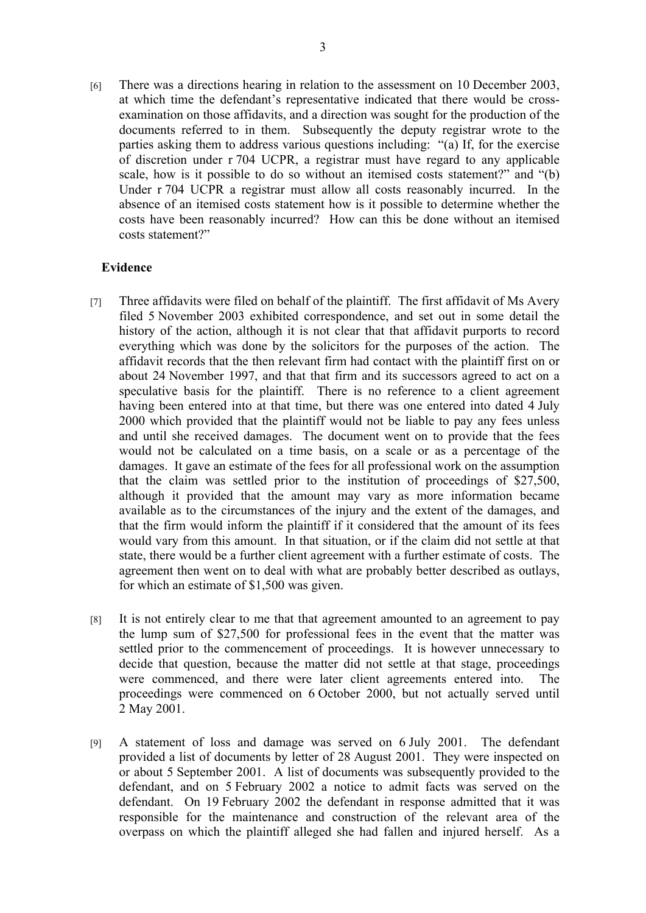[6] There was a directions hearing in relation to the assessment on 10 December 2003, at which time the defendant's representative indicated that there would be crossexamination on those affidavits, and a direction was sought for the production of the documents referred to in them. Subsequently the deputy registrar wrote to the parties asking them to address various questions including: "(a) If, for the exercise of discretion under r 704 UCPR, a registrar must have regard to any applicable scale, how is it possible to do so without an itemised costs statement?" and "(b) Under r 704 UCPR a registrar must allow all costs reasonably incurred. In the absence of an itemised costs statement how is it possible to determine whether the costs have been reasonably incurred? How can this be done without an itemised costs statement?"

#### **Evidence**

- [7] Three affidavits were filed on behalf of the plaintiff. The first affidavit of Ms Avery filed 5 November 2003 exhibited correspondence, and set out in some detail the history of the action, although it is not clear that that affidavit purports to record everything which was done by the solicitors for the purposes of the action. The affidavit records that the then relevant firm had contact with the plaintiff first on or about 24 November 1997, and that that firm and its successors agreed to act on a speculative basis for the plaintiff. There is no reference to a client agreement having been entered into at that time, but there was one entered into dated 4 July 2000 which provided that the plaintiff would not be liable to pay any fees unless and until she received damages. The document went on to provide that the fees would not be calculated on a time basis, on a scale or as a percentage of the damages. It gave an estimate of the fees for all professional work on the assumption that the claim was settled prior to the institution of proceedings of \$27,500, although it provided that the amount may vary as more information became available as to the circumstances of the injury and the extent of the damages, and that the firm would inform the plaintiff if it considered that the amount of its fees would vary from this amount. In that situation, or if the claim did not settle at that state, there would be a further client agreement with a further estimate of costs. The agreement then went on to deal with what are probably better described as outlays, for which an estimate of \$1,500 was given.
- [8] It is not entirely clear to me that that agreement amounted to an agreement to pay the lump sum of \$27,500 for professional fees in the event that the matter was settled prior to the commencement of proceedings. It is however unnecessary to decide that question, because the matter did not settle at that stage, proceedings were commenced, and there were later client agreements entered into. The proceedings were commenced on 6 October 2000, but not actually served until 2 May 2001.
- [9] A statement of loss and damage was served on 6 July 2001. The defendant provided a list of documents by letter of 28 August 2001. They were inspected on or about 5 September 2001. A list of documents was subsequently provided to the defendant, and on 5 February 2002 a notice to admit facts was served on the defendant. On 19 February 2002 the defendant in response admitted that it was responsible for the maintenance and construction of the relevant area of the overpass on which the plaintiff alleged she had fallen and injured herself. As a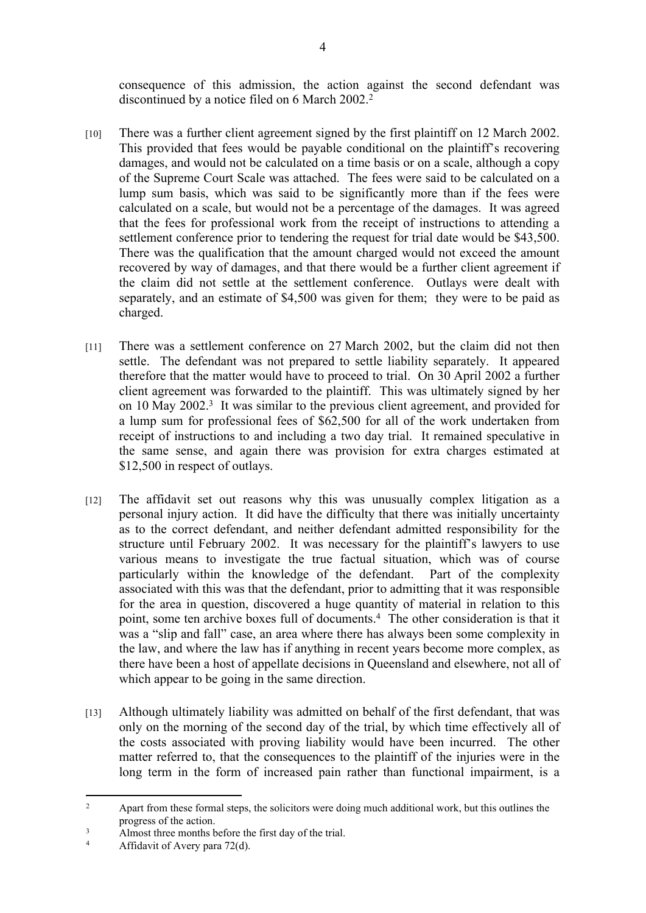consequence of this admission, the action against the second defendant was discontinued by a notice filed on 6 March 2002.<sup>2</sup>

- [10] There was a further client agreement signed by the first plaintiff on 12 March 2002. This provided that fees would be payable conditional on the plaintiff's recovering damages, and would not be calculated on a time basis or on a scale, although a copy of the Supreme Court Scale was attached. The fees were said to be calculated on a lump sum basis, which was said to be significantly more than if the fees were calculated on a scale, but would not be a percentage of the damages. It was agreed that the fees for professional work from the receipt of instructions to attending a settlement conference prior to tendering the request for trial date would be \$43,500. There was the qualification that the amount charged would not exceed the amount recovered by way of damages, and that there would be a further client agreement if the claim did not settle at the settlement conference. Outlays were dealt with separately, and an estimate of \$4,500 was given for them; they were to be paid as charged.
- [11] There was a settlement conference on 27 March 2002, but the claim did not then settle. The defendant was not prepared to settle liability separately. It appeared therefore that the matter would have to proceed to trial. On 30 April 2002 a further client agreement was forwarded to the plaintiff. This was ultimately signed by her on 10 May 2002.<sup>3</sup> It was similar to the previous client agreement, and provided for a lump sum for professional fees of \$62,500 for all of the work undertaken from receipt of instructions to and including a two day trial. It remained speculative in the same sense, and again there was provision for extra charges estimated at \$12,500 in respect of outlays.
- [12] The affidavit set out reasons why this was unusually complex litigation as a personal injury action. It did have the difficulty that there was initially uncertainty as to the correct defendant, and neither defendant admitted responsibility for the structure until February 2002. It was necessary for the plaintiff's lawyers to use various means to investigate the true factual situation, which was of course particularly within the knowledge of the defendant. Part of the complexity associated with this was that the defendant, prior to admitting that it was responsible for the area in question, discovered a huge quantity of material in relation to this point, some ten archive boxes full of documents.<sup>4</sup> The other consideration is that it was a "slip and fall" case, an area where there has always been some complexity in the law, and where the law has if anything in recent years become more complex, as there have been a host of appellate decisions in Queensland and elsewhere, not all of which appear to be going in the same direction.
- [13] Although ultimately liability was admitted on behalf of the first defendant, that was only on the morning of the second day of the trial, by which time effectively all of the costs associated with proving liability would have been incurred. The other matter referred to, that the consequences to the plaintiff of the injuries were in the long term in the form of increased pain rather than functional impairment, is a

 $\overline{2}$  Apart from these formal steps, the solicitors were doing much additional work, but this outlines the progress of the action.

<sup>3</sup> Almost three months before the first day of the trial.

<sup>4</sup> Affidavit of Avery para 72(d).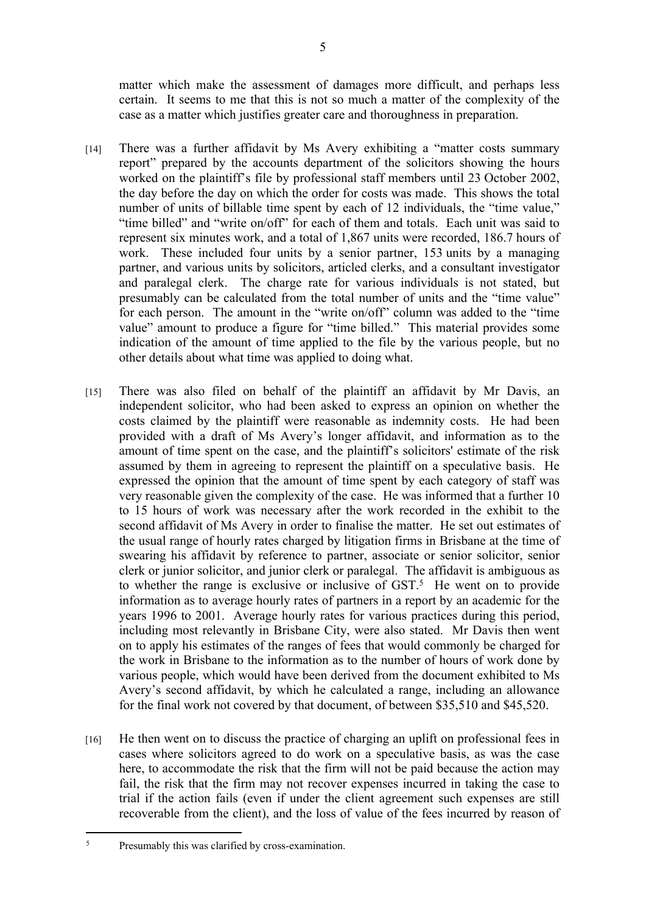matter which make the assessment of damages more difficult, and perhaps less certain. It seems to me that this is not so much a matter of the complexity of the case as a matter which justifies greater care and thoroughness in preparation.

- [14] There was a further affidavit by Ms Avery exhibiting a "matter costs summary report" prepared by the accounts department of the solicitors showing the hours worked on the plaintiff's file by professional staff members until 23 October 2002, the day before the day on which the order for costs was made. This shows the total number of units of billable time spent by each of 12 individuals, the "time value," "time billed" and "write on/off" for each of them and totals. Each unit was said to represent six minutes work, and a total of 1,867 units were recorded, 186.7 hours of work. These included four units by a senior partner, 153 units by a managing partner, and various units by solicitors, articled clerks, and a consultant investigator and paralegal clerk. The charge rate for various individuals is not stated, but presumably can be calculated from the total number of units and the "time value" for each person. The amount in the "write on/off" column was added to the "time value" amount to produce a figure for "time billed." This material provides some indication of the amount of time applied to the file by the various people, but no other details about what time was applied to doing what.
- [15] There was also filed on behalf of the plaintiff an affidavit by Mr Davis, an independent solicitor, who had been asked to express an opinion on whether the costs claimed by the plaintiff were reasonable as indemnity costs. He had been provided with a draft of Ms Avery's longer affidavit, and information as to the amount of time spent on the case, and the plaintiff's solicitors' estimate of the risk assumed by them in agreeing to represent the plaintiff on a speculative basis. He expressed the opinion that the amount of time spent by each category of staff was very reasonable given the complexity of the case. He was informed that a further 10 to 15 hours of work was necessary after the work recorded in the exhibit to the second affidavit of Ms Avery in order to finalise the matter. He set out estimates of the usual range of hourly rates charged by litigation firms in Brisbane at the time of swearing his affidavit by reference to partner, associate or senior solicitor, senior clerk or junior solicitor, and junior clerk or paralegal. The affidavit is ambiguous as to whether the range is exclusive or inclusive of  $GST$ <sup>5</sup>. He went on to provide information as to average hourly rates of partners in a report by an academic for the years 1996 to 2001. Average hourly rates for various practices during this period, including most relevantly in Brisbane City, were also stated. Mr Davis then went on to apply his estimates of the ranges of fees that would commonly be charged for the work in Brisbane to the information as to the number of hours of work done by various people, which would have been derived from the document exhibited to Ms Avery's second affidavit, by which he calculated a range, including an allowance for the final work not covered by that document, of between \$35,510 and \$45,520.
- [16] He then went on to discuss the practice of charging an uplift on professional fees in cases where solicitors agreed to do work on a speculative basis, as was the case here, to accommodate the risk that the firm will not be paid because the action may fail, the risk that the firm may not recover expenses incurred in taking the case to trial if the action fails (even if under the client agreement such expenses are still recoverable from the client), and the loss of value of the fees incurred by reason of

<sup>5</sup> Presumably this was clarified by cross-examination.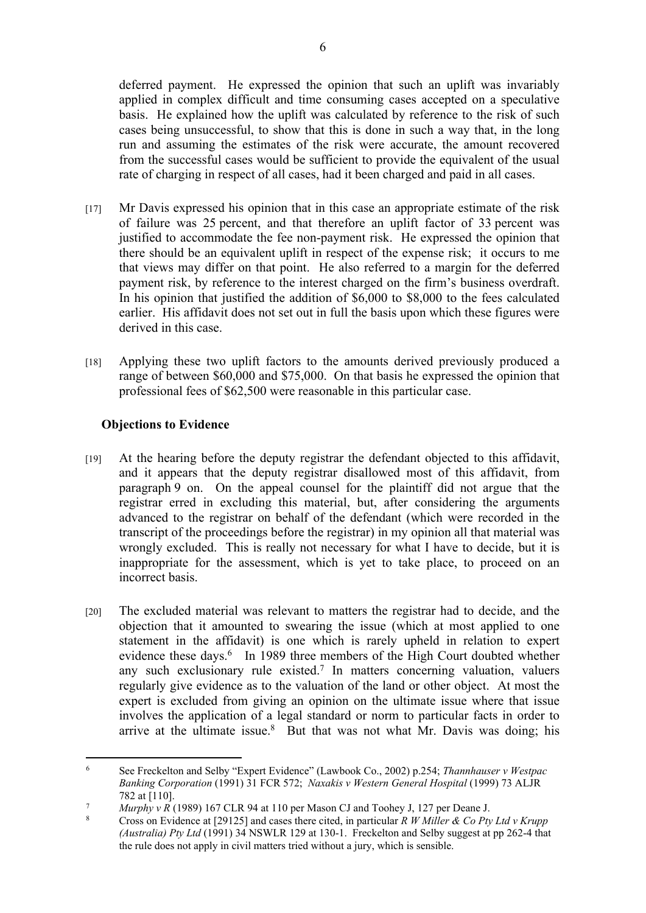deferred payment. He expressed the opinion that such an uplift was invariably applied in complex difficult and time consuming cases accepted on a speculative basis. He explained how the uplift was calculated by reference to the risk of such cases being unsuccessful, to show that this is done in such a way that, in the long run and assuming the estimates of the risk were accurate, the amount recovered from the successful cases would be sufficient to provide the equivalent of the usual rate of charging in respect of all cases, had it been charged and paid in all cases.

- [17] Mr Davis expressed his opinion that in this case an appropriate estimate of the risk of failure was 25 percent, and that therefore an uplift factor of 33 percent was justified to accommodate the fee non-payment risk. He expressed the opinion that there should be an equivalent uplift in respect of the expense risk; it occurs to me that views may differ on that point. He also referred to a margin for the deferred payment risk, by reference to the interest charged on the firm's business overdraft. In his opinion that justified the addition of \$6,000 to \$8,000 to the fees calculated earlier. His affidavit does not set out in full the basis upon which these figures were derived in this case.
- [18] Applying these two uplift factors to the amounts derived previously produced a range of between \$60,000 and \$75,000. On that basis he expressed the opinion that professional fees of \$62,500 were reasonable in this particular case.

# **Objections to Evidence**

- [19] At the hearing before the deputy registrar the defendant objected to this affidavit, and it appears that the deputy registrar disallowed most of this affidavit, from paragraph 9 on. On the appeal counsel for the plaintiff did not argue that the registrar erred in excluding this material, but, after considering the arguments advanced to the registrar on behalf of the defendant (which were recorded in the transcript of the proceedings before the registrar) in my opinion all that material was wrongly excluded. This is really not necessary for what I have to decide, but it is inappropriate for the assessment, which is yet to take place, to proceed on an incorrect basis.
- [20] The excluded material was relevant to matters the registrar had to decide, and the objection that it amounted to swearing the issue (which at most applied to one statement in the affidavit) is one which is rarely upheld in relation to expert evidence these days.<sup>6</sup> In 1989 three members of the High Court doubted whether any such exclusionary rule existed.<sup>7</sup> In matters concerning valuation, valuers regularly give evidence as to the valuation of the land or other object. At most the expert is excluded from giving an opinion on the ultimate issue where that issue involves the application of a legal standard or norm to particular facts in order to arrive at the ultimate issue. $8$  But that was not what Mr. Davis was doing; his

<sup>6</sup> See Freckelton and Selby "Expert Evidence" (Lawbook Co., 2002) p.254; *Thannhauser v Westpac Banking Corporation* (1991) 31 FCR 572; *Naxakis v Western General Hospital* (1999) 73 ALJR 782 at [110].

<sup>7</sup> *Murphy v R* (1989) 167 CLR 94 at 110 per Mason CJ and Toohey J, 127 per Deane J.

<sup>8</sup> Cross on Evidence at [29125] and cases there cited, in particular *R W Miller & Co Pty Ltd v Krupp (Australia) Pty Ltd* (1991) 34 NSWLR 129 at 130-1. Freckelton and Selby suggest at pp 262-4 that the rule does not apply in civil matters tried without a jury, which is sensible.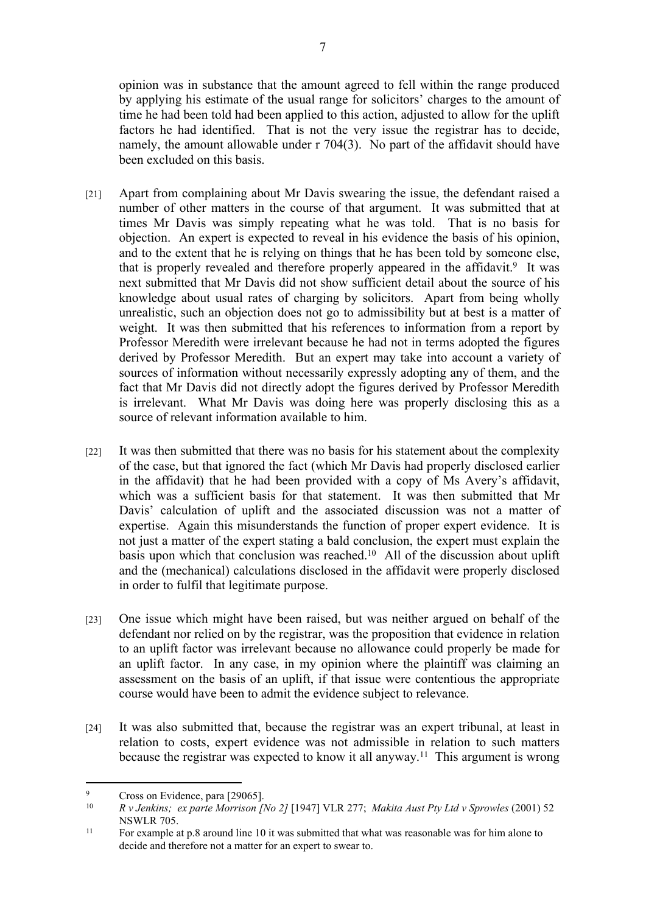opinion was in substance that the amount agreed to fell within the range produced by applying his estimate of the usual range for solicitors' charges to the amount of time he had been told had been applied to this action, adjusted to allow for the uplift factors he had identified. That is not the very issue the registrar has to decide, namely, the amount allowable under r 704(3). No part of the affidavit should have been excluded on this basis.

- [21] Apart from complaining about Mr Davis swearing the issue, the defendant raised a number of other matters in the course of that argument. It was submitted that at times Mr Davis was simply repeating what he was told. That is no basis for objection. An expert is expected to reveal in his evidence the basis of his opinion, and to the extent that he is relying on things that he has been told by someone else, that is properly revealed and therefore properly appeared in the affidavit.<sup>9</sup> It was next submitted that Mr Davis did not show sufficient detail about the source of his knowledge about usual rates of charging by solicitors. Apart from being wholly unrealistic, such an objection does not go to admissibility but at best is a matter of weight. It was then submitted that his references to information from a report by Professor Meredith were irrelevant because he had not in terms adopted the figures derived by Professor Meredith. But an expert may take into account a variety of sources of information without necessarily expressly adopting any of them, and the fact that Mr Davis did not directly adopt the figures derived by Professor Meredith is irrelevant. What Mr Davis was doing here was properly disclosing this as a source of relevant information available to him.
- [22] It was then submitted that there was no basis for his statement about the complexity of the case, but that ignored the fact (which Mr Davis had properly disclosed earlier in the affidavit) that he had been provided with a copy of Ms Avery's affidavit, which was a sufficient basis for that statement. It was then submitted that Mr Davis' calculation of uplift and the associated discussion was not a matter of expertise. Again this misunderstands the function of proper expert evidence. It is not just a matter of the expert stating a bald conclusion, the expert must explain the basis upon which that conclusion was reached.<sup>10</sup> All of the discussion about uplift and the (mechanical) calculations disclosed in the affidavit were properly disclosed in order to fulfil that legitimate purpose.
- [23] One issue which might have been raised, but was neither argued on behalf of the defendant nor relied on by the registrar, was the proposition that evidence in relation to an uplift factor was irrelevant because no allowance could properly be made for an uplift factor. In any case, in my opinion where the plaintiff was claiming an assessment on the basis of an uplift, if that issue were contentious the appropriate course would have been to admit the evidence subject to relevance.
- [24] It was also submitted that, because the registrar was an expert tribunal, at least in relation to costs, expert evidence was not admissible in relation to such matters because the registrar was expected to know it all anyway.<sup>11</sup> This argument is wrong

 $\mathbf{Q}$ <sup>9</sup> Cross on Evidence, para [29065].

<sup>10</sup> *R v Jenkins; ex parte Morrison [No 2]* [1947] VLR 277; *Makita Aust Pty Ltd v Sprowles* (2001) 52 NSWLR 705.

<sup>&</sup>lt;sup>11</sup> For example at p.8 around line 10 it was submitted that what was reasonable was for him alone to decide and therefore not a matter for an expert to swear to.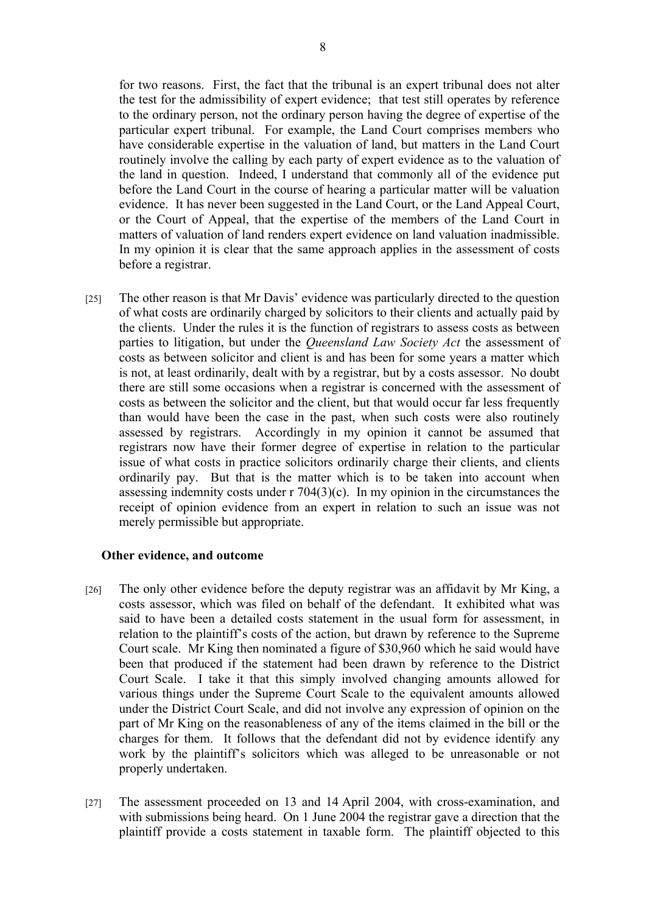for two reasons. First, the fact that the tribunal is an expert tribunal does not alter

the test for the admissibility of expert evidence; that test still operates by reference to the ordinary person, not the ordinary person having the degree of expertise of the particular expert tribunal. For example, the Land Court comprises members who have considerable expertise in the valuation of land, but matters in the Land Court routinely involve the calling by each party of expert evidence as to the valuation of the land in question. Indeed, I understand that commonly all of the evidence put before the Land Court in the course of hearing a particular matter will be valuation evidence. It has never been suggested in the Land Court, or the Land Appeal Court, or the Court of Appeal, that the expertise of the members of the Land Court in matters of valuation of land renders expert evidence on land valuation inadmissible. In my opinion it is clear that the same approach applies in the assessment of costs before a registrar.

[25] The other reason is that Mr Davis' evidence was particularly directed to the question of what costs are ordinarily charged by solicitors to their clients and actually paid by the clients. Under the rules it is the function of registrars to assess costs as between parties to litigation, but under the *Queensland Law Society Act* the assessment of costs as between solicitor and client is and has been for some years a matter which is not, at least ordinarily, dealt with by a registrar, but by a costs assessor. No doubt there are still some occasions when a registrar is concerned with the assessment of costs as between the solicitor and the client, but that would occur far less frequently than would have been the case in the past, when such costs were also routinely assessed by registrars. Accordingly in my opinion it cannot be assumed that registrars now have their former degree of expertise in relation to the particular issue of what costs in practice solicitors ordinarily charge their clients, and clients ordinarily pay. But that is the matter which is to be taken into account when assessing indemnity costs under r 704(3)(c). In my opinion in the circumstances the receipt of opinion evidence from an expert in relation to such an issue was not merely permissible but appropriate.

### **Other evidence, and outcome**

- [26] The only other evidence before the deputy registrar was an affidavit by Mr King, a costs assessor, which was filed on behalf of the defendant. It exhibited what was said to have been a detailed costs statement in the usual form for assessment, in relation to the plaintiff's costs of the action, but drawn by reference to the Supreme Court scale. Mr King then nominated a figure of \$30,960 which he said would have been that produced if the statement had been drawn by reference to the District Court Scale. I take it that this simply involved changing amounts allowed for various things under the Supreme Court Scale to the equivalent amounts allowed under the District Court Scale, and did not involve any expression of opinion on the part of Mr King on the reasonableness of any of the items claimed in the bill or the charges for them. It follows that the defendant did not by evidence identify any work by the plaintiff's solicitors which was alleged to be unreasonable or not properly undertaken.
- [27] The assessment proceeded on 13 and 14 April 2004, with cross-examination, and with submissions being heard. On 1 June 2004 the registrar gave a direction that the plaintiff provide a costs statement in taxable form. The plaintiff objected to this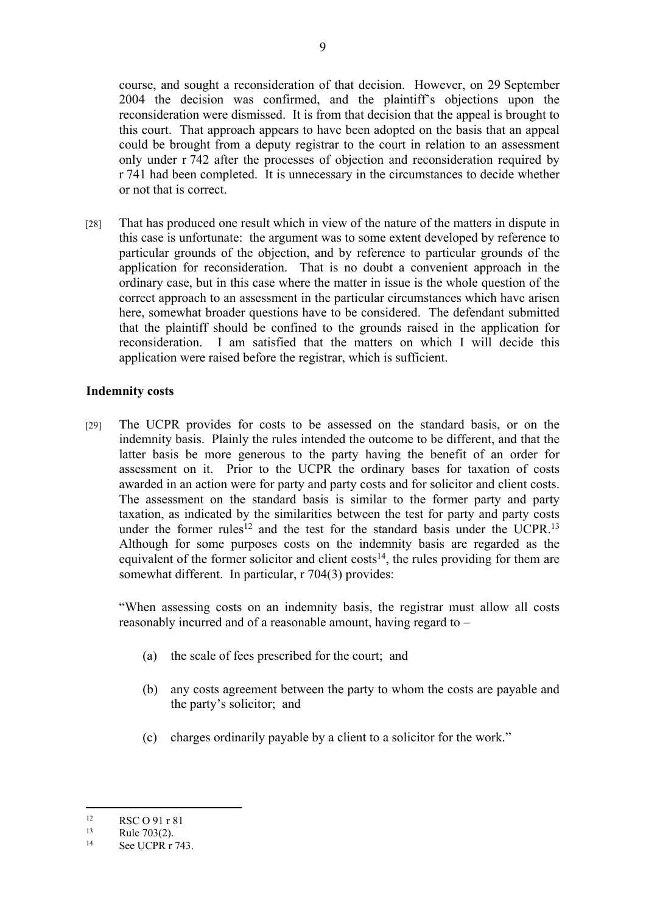course, and sought a reconsideration of that decision. However, on 29 September 2004 the decision was confirmed, and the plaintiff's objections upon the reconsideration were dismissed. It is from that decision that the appeal is brought to this court. That approach appears to have been adopted on the basis that an appeal could be brought from a deputy registrar to the court in relation to an assessment only under r 742 after the processes of objection and reconsideration required by r 741 had been completed. It is unnecessary in the circumstances to decide whether or not that is correct.

[28] That has produced one result which in view of the nature of the matters in dispute in this case is unfortunate: the argument was to some extent developed by reference to particular grounds of the objection, and by reference to particular grounds of the application for reconsideration. That is no doubt a convenient approach in the ordinary case, but in this case where the matter in issue is the whole question of the correct approach to an assessment in the particular circumstances which have arisen here, somewhat broader questions have to be considered. The defendant submitted that the plaintiff should be confined to the grounds raised in the application for reconsideration. I am satisfied that the matters on which I will decide this application were raised before the registrar, which is sufficient.

### **Indemnity costs**

[29] The UCPR provides for costs to be assessed on the standard basis, or on the indemnity basis. Plainly the rules intended the outcome to be different, and that the latter basis be more generous to the party having the benefit of an order for assessment on it. Prior to the UCPR the ordinary bases for taxation of costs awarded in an action were for party and party costs and for solicitor and client costs. The assessment on the standard basis is similar to the former party and party taxation, as indicated by the similarities between the test for party and party costs under the former rules<sup>12</sup> and the test for the standard basis under the UCPR.<sup>13</sup> Although for some purposes costs on the indemnity basis are regarded as the equivalent of the former solicitor and client costs<sup>14</sup>, the rules providing for them are somewhat different. In particular, r 704(3) provides:

"When assessing costs on an indemnity basis, the registrar must allow all costs reasonably incurred and of a reasonable amount, having regard to –

- (a) the scale of fees prescribed for the court; and
- (b) any costs agreement between the party to whom the costs are payable and the party's solicitor; and
- (c) charges ordinarily payable by a client to a solicitor for the work."

 $RSC O 91 r 81$ <br>13 Puls 703(2)

 $\frac{13}{14}$  Rule 703(2).

See UCPR r 743.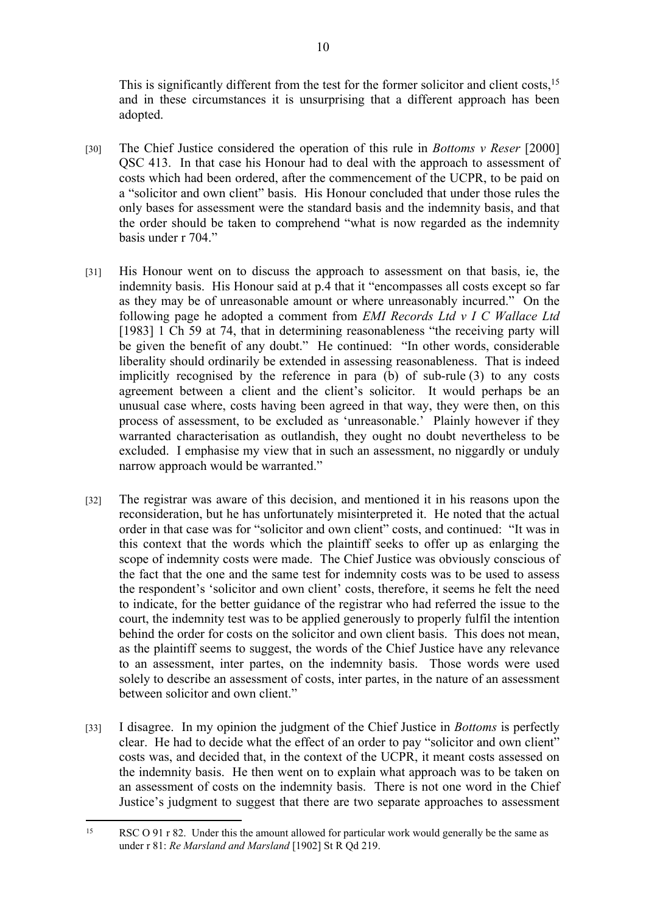This is significantly different from the test for the former solicitor and client costs,<sup>15</sup> and in these circumstances it is unsurprising that a different approach has been adopted.

- [30] The Chief Justice considered the operation of this rule in *Bottoms v Reser* [2000] QSC 413. In that case his Honour had to deal with the approach to assessment of costs which had been ordered, after the commencement of the UCPR, to be paid on a "solicitor and own client" basis. His Honour concluded that under those rules the only bases for assessment were the standard basis and the indemnity basis, and that the order should be taken to comprehend "what is now regarded as the indemnity basis under r 704."
- [31] His Honour went on to discuss the approach to assessment on that basis, ie, the indemnity basis. His Honour said at p.4 that it "encompasses all costs except so far as they may be of unreasonable amount or where unreasonably incurred." On the following page he adopted a comment from *EMI Records Ltd v I C Wallace Ltd* [1983] 1 Ch 59 at 74, that in determining reasonableness "the receiving party will be given the benefit of any doubt." He continued: "In other words, considerable liberality should ordinarily be extended in assessing reasonableness. That is indeed implicitly recognised by the reference in para (b) of sub-rule (3) to any costs agreement between a client and the client's solicitor. It would perhaps be an unusual case where, costs having been agreed in that way, they were then, on this process of assessment, to be excluded as 'unreasonable.' Plainly however if they warranted characterisation as outlandish, they ought no doubt nevertheless to be excluded. I emphasise my view that in such an assessment, no niggardly or unduly narrow approach would be warranted."
- [32] The registrar was aware of this decision, and mentioned it in his reasons upon the reconsideration, but he has unfortunately misinterpreted it. He noted that the actual order in that case was for "solicitor and own client" costs, and continued: "It was in this context that the words which the plaintiff seeks to offer up as enlarging the scope of indemnity costs were made. The Chief Justice was obviously conscious of the fact that the one and the same test for indemnity costs was to be used to assess the respondent's 'solicitor and own client' costs, therefore, it seems he felt the need to indicate, for the better guidance of the registrar who had referred the issue to the court, the indemnity test was to be applied generously to properly fulfil the intention behind the order for costs on the solicitor and own client basis. This does not mean, as the plaintiff seems to suggest, the words of the Chief Justice have any relevance to an assessment, inter partes, on the indemnity basis. Those words were used solely to describe an assessment of costs, inter partes, in the nature of an assessment between solicitor and own client."
- [33] I disagree. In my opinion the judgment of the Chief Justice in *Bottoms* is perfectly clear. He had to decide what the effect of an order to pay "solicitor and own client" costs was, and decided that, in the context of the UCPR, it meant costs assessed on the indemnity basis. He then went on to explain what approach was to be taken on an assessment of costs on the indemnity basis. There is not one word in the Chief Justice's judgment to suggest that there are two separate approaches to assessment

<sup>&</sup>lt;sup>15</sup> RSC O 91 r 82. Under this the amount allowed for particular work would generally be the same as under r 81: *Re Marsland and Marsland* [1902] St R Qd 219.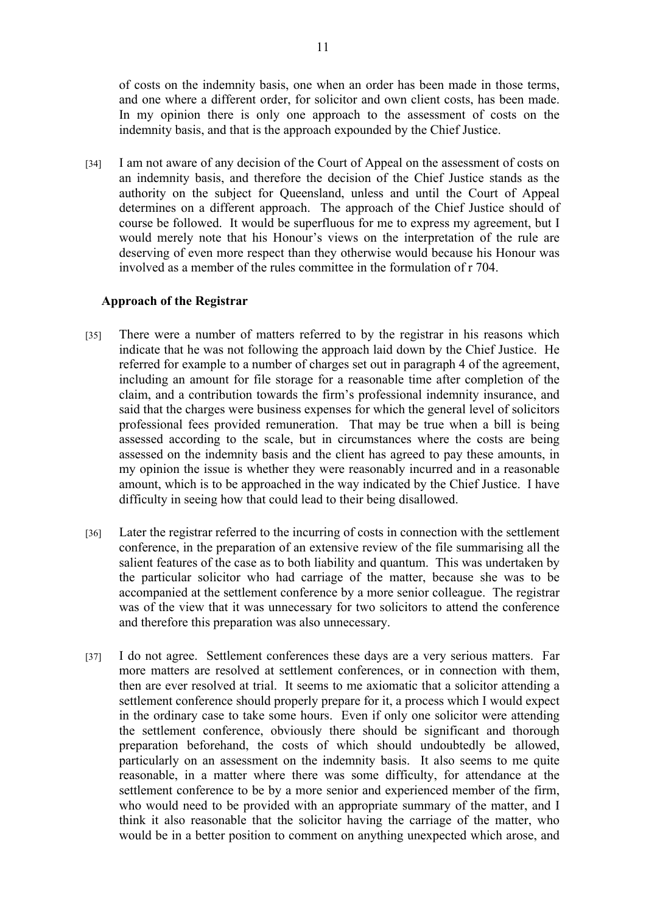of costs on the indemnity basis, one when an order has been made in those terms, and one where a different order, for solicitor and own client costs, has been made. In my opinion there is only one approach to the assessment of costs on the indemnity basis, and that is the approach expounded by the Chief Justice.

[34] I am not aware of any decision of the Court of Appeal on the assessment of costs on an indemnity basis, and therefore the decision of the Chief Justice stands as the authority on the subject for Queensland, unless and until the Court of Appeal determines on a different approach. The approach of the Chief Justice should of course be followed. It would be superfluous for me to express my agreement, but I would merely note that his Honour's views on the interpretation of the rule are deserving of even more respect than they otherwise would because his Honour was involved as a member of the rules committee in the formulation of r 704.

#### **Approach of the Registrar**

- [35] There were a number of matters referred to by the registrar in his reasons which indicate that he was not following the approach laid down by the Chief Justice. He referred for example to a number of charges set out in paragraph 4 of the agreement, including an amount for file storage for a reasonable time after completion of the claim, and a contribution towards the firm's professional indemnity insurance, and said that the charges were business expenses for which the general level of solicitors professional fees provided remuneration. That may be true when a bill is being assessed according to the scale, but in circumstances where the costs are being assessed on the indemnity basis and the client has agreed to pay these amounts, in my opinion the issue is whether they were reasonably incurred and in a reasonable amount, which is to be approached in the way indicated by the Chief Justice. I have difficulty in seeing how that could lead to their being disallowed.
- [36] Later the registrar referred to the incurring of costs in connection with the settlement conference, in the preparation of an extensive review of the file summarising all the salient features of the case as to both liability and quantum. This was undertaken by the particular solicitor who had carriage of the matter, because she was to be accompanied at the settlement conference by a more senior colleague. The registrar was of the view that it was unnecessary for two solicitors to attend the conference and therefore this preparation was also unnecessary.
- [37] I do not agree. Settlement conferences these days are a very serious matters. Far more matters are resolved at settlement conferences, or in connection with them, then are ever resolved at trial. It seems to me axiomatic that a solicitor attending a settlement conference should properly prepare for it, a process which I would expect in the ordinary case to take some hours. Even if only one solicitor were attending the settlement conference, obviously there should be significant and thorough preparation beforehand, the costs of which should undoubtedly be allowed, particularly on an assessment on the indemnity basis. It also seems to me quite reasonable, in a matter where there was some difficulty, for attendance at the settlement conference to be by a more senior and experienced member of the firm, who would need to be provided with an appropriate summary of the matter, and I think it also reasonable that the solicitor having the carriage of the matter, who would be in a better position to comment on anything unexpected which arose, and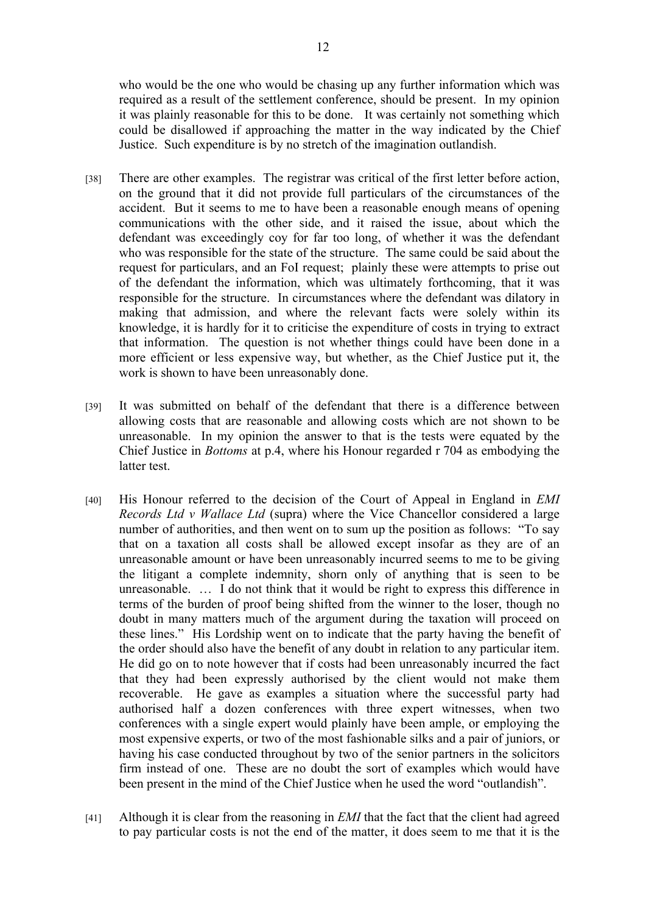who would be the one who would be chasing up any further information which was required as a result of the settlement conference, should be present. In my opinion it was plainly reasonable for this to be done. It was certainly not something which could be disallowed if approaching the matter in the way indicated by the Chief Justice. Such expenditure is by no stretch of the imagination outlandish.

- [38] There are other examples. The registrar was critical of the first letter before action, on the ground that it did not provide full particulars of the circumstances of the accident. But it seems to me to have been a reasonable enough means of opening communications with the other side, and it raised the issue, about which the defendant was exceedingly coy for far too long, of whether it was the defendant who was responsible for the state of the structure. The same could be said about the request for particulars, and an FoI request; plainly these were attempts to prise out of the defendant the information, which was ultimately forthcoming, that it was responsible for the structure. In circumstances where the defendant was dilatory in making that admission, and where the relevant facts were solely within its knowledge, it is hardly for it to criticise the expenditure of costs in trying to extract that information. The question is not whether things could have been done in a more efficient or less expensive way, but whether, as the Chief Justice put it, the work is shown to have been unreasonably done.
- [39] It was submitted on behalf of the defendant that there is a difference between allowing costs that are reasonable and allowing costs which are not shown to be unreasonable. In my opinion the answer to that is the tests were equated by the Chief Justice in *Bottoms* at p.4, where his Honour regarded r 704 as embodying the latter test.
- [40] His Honour referred to the decision of the Court of Appeal in England in *EMI Records Ltd v Wallace Ltd* (supra) where the Vice Chancellor considered a large number of authorities, and then went on to sum up the position as follows: "To say that on a taxation all costs shall be allowed except insofar as they are of an unreasonable amount or have been unreasonably incurred seems to me to be giving the litigant a complete indemnity, shorn only of anything that is seen to be unreasonable. … I do not think that it would be right to express this difference in terms of the burden of proof being shifted from the winner to the loser, though no doubt in many matters much of the argument during the taxation will proceed on these lines." His Lordship went on to indicate that the party having the benefit of the order should also have the benefit of any doubt in relation to any particular item. He did go on to note however that if costs had been unreasonably incurred the fact that they had been expressly authorised by the client would not make them recoverable. He gave as examples a situation where the successful party had authorised half a dozen conferences with three expert witnesses, when two conferences with a single expert would plainly have been ample, or employing the most expensive experts, or two of the most fashionable silks and a pair of juniors, or having his case conducted throughout by two of the senior partners in the solicitors firm instead of one. These are no doubt the sort of examples which would have been present in the mind of the Chief Justice when he used the word "outlandish".
- [41] Although it is clear from the reasoning in *EMI* that the fact that the client had agreed to pay particular costs is not the end of the matter, it does seem to me that it is the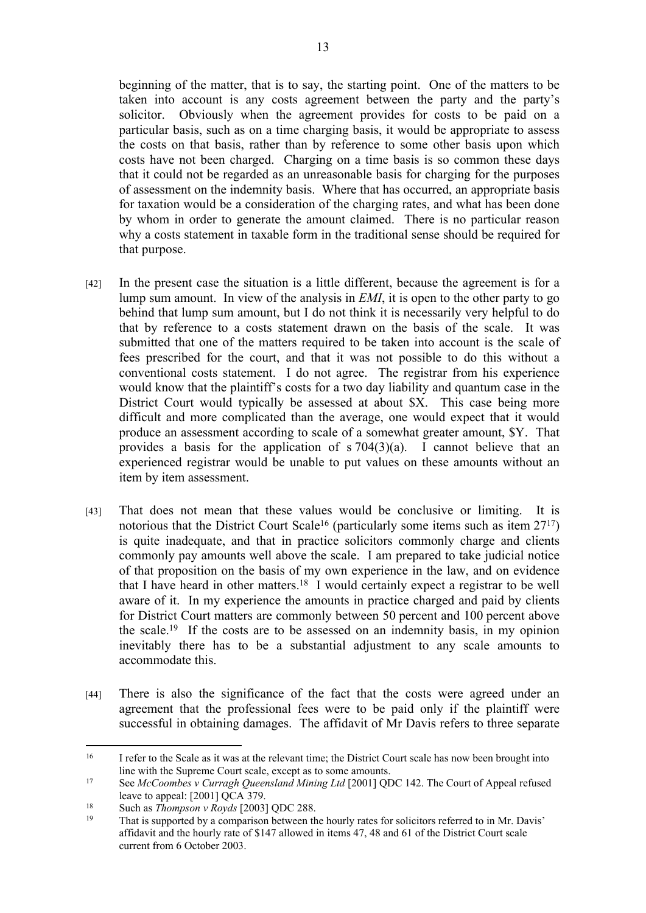beginning of the matter, that is to say, the starting point. One of the matters to be taken into account is any costs agreement between the party and the party's solicitor. Obviously when the agreement provides for costs to be paid on a particular basis, such as on a time charging basis, it would be appropriate to assess the costs on that basis, rather than by reference to some other basis upon which costs have not been charged. Charging on a time basis is so common these days that it could not be regarded as an unreasonable basis for charging for the purposes of assessment on the indemnity basis. Where that has occurred, an appropriate basis for taxation would be a consideration of the charging rates, and what has been done by whom in order to generate the amount claimed. There is no particular reason why a costs statement in taxable form in the traditional sense should be required for that purpose.

- [42] In the present case the situation is a little different, because the agreement is for a lump sum amount. In view of the analysis in *EMI*, it is open to the other party to go behind that lump sum amount, but I do not think it is necessarily very helpful to do that by reference to a costs statement drawn on the basis of the scale. It was submitted that one of the matters required to be taken into account is the scale of fees prescribed for the court, and that it was not possible to do this without a conventional costs statement. I do not agree. The registrar from his experience would know that the plaintiff's costs for a two day liability and quantum case in the District Court would typically be assessed at about \$X. This case being more difficult and more complicated than the average, one would expect that it would produce an assessment according to scale of a somewhat greater amount, \$Y. That provides a basis for the application of  $s$  704(3)(a). I cannot believe that an experienced registrar would be unable to put values on these amounts without an item by item assessment.
- [43] That does not mean that these values would be conclusive or limiting. It is notorious that the District Court Scale<sup>16</sup> (particularly some items such as item  $27^{17}$ ) is quite inadequate, and that in practice solicitors commonly charge and clients commonly pay amounts well above the scale. I am prepared to take judicial notice of that proposition on the basis of my own experience in the law, and on evidence that I have heard in other matters.<sup>18</sup> I would certainly expect a registrar to be well aware of it. In my experience the amounts in practice charged and paid by clients for District Court matters are commonly between 50 percent and 100 percent above the scale.<sup>19</sup> If the costs are to be assessed on an indemnity basis, in my opinion inevitably there has to be a substantial adjustment to any scale amounts to accommodate this.
- [44] There is also the significance of the fact that the costs were agreed under an agreement that the professional fees were to be paid only if the plaintiff were successful in obtaining damages. The affidavit of Mr Davis refers to three separate

<sup>&</sup>lt;sup>16</sup> I refer to the Scale as it was at the relevant time; the District Court scale has now been brought into line with the Supreme Court scale, except as to some amounts.

<sup>17</sup> See *McCoombes v Curragh Queensland Mining Ltd* [2001] QDC 142. The Court of Appeal refused leave to appeal: [2001] QCA 379.

<sup>18</sup> Such as *Thompson v Royds* [2003] QDC 288.

That is supported by a comparison between the hourly rates for solicitors referred to in Mr. Davis' affidavit and the hourly rate of \$147 allowed in items 47, 48 and 61 of the District Court scale current from 6 October 2003.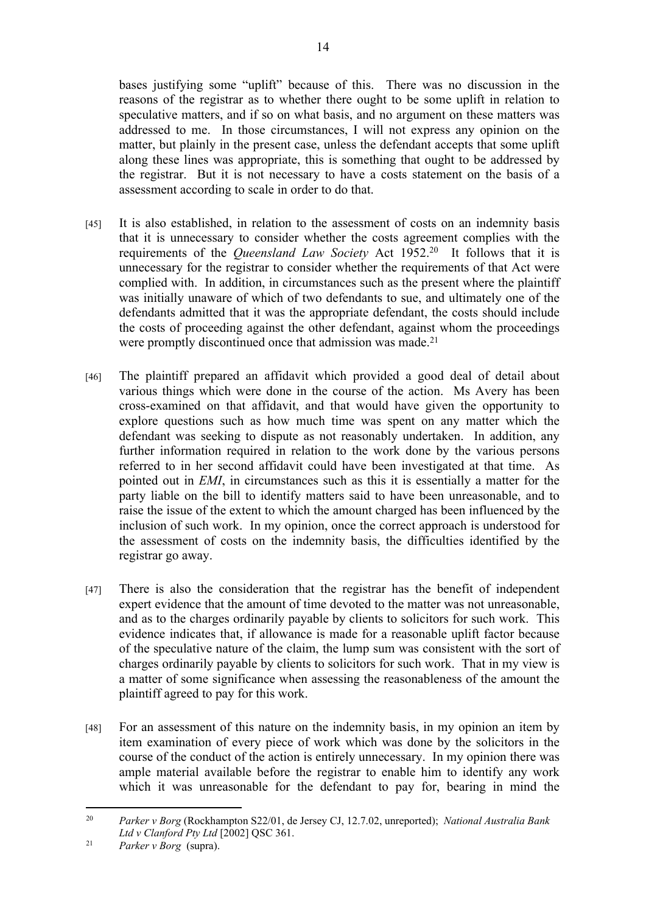bases justifying some "uplift" because of this. There was no discussion in the reasons of the registrar as to whether there ought to be some uplift in relation to speculative matters, and if so on what basis, and no argument on these matters was addressed to me. In those circumstances, I will not express any opinion on the matter, but plainly in the present case, unless the defendant accepts that some uplift along these lines was appropriate, this is something that ought to be addressed by the registrar. But it is not necessary to have a costs statement on the basis of a assessment according to scale in order to do that.

- [45] It is also established, in relation to the assessment of costs on an indemnity basis that it is unnecessary to consider whether the costs agreement complies with the requirements of the *Queensland Law Society* Act 1952.<sup>20</sup> It follows that it is unnecessary for the registrar to consider whether the requirements of that Act were complied with. In addition, in circumstances such as the present where the plaintiff was initially unaware of which of two defendants to sue, and ultimately one of the defendants admitted that it was the appropriate defendant, the costs should include the costs of proceeding against the other defendant, against whom the proceedings were promptly discontinued once that admission was made.<sup>21</sup>
- [46] The plaintiff prepared an affidavit which provided a good deal of detail about various things which were done in the course of the action. Ms Avery has been cross-examined on that affidavit, and that would have given the opportunity to explore questions such as how much time was spent on any matter which the defendant was seeking to dispute as not reasonably undertaken. In addition, any further information required in relation to the work done by the various persons referred to in her second affidavit could have been investigated at that time. As pointed out in *EMI*, in circumstances such as this it is essentially a matter for the party liable on the bill to identify matters said to have been unreasonable, and to raise the issue of the extent to which the amount charged has been influenced by the inclusion of such work. In my opinion, once the correct approach is understood for the assessment of costs on the indemnity basis, the difficulties identified by the registrar go away.
- [47] There is also the consideration that the registrar has the benefit of independent expert evidence that the amount of time devoted to the matter was not unreasonable, and as to the charges ordinarily payable by clients to solicitors for such work. This evidence indicates that, if allowance is made for a reasonable uplift factor because of the speculative nature of the claim, the lump sum was consistent with the sort of charges ordinarily payable by clients to solicitors for such work. That in my view is a matter of some significance when assessing the reasonableness of the amount the plaintiff agreed to pay for this work.
- [48] For an assessment of this nature on the indemnity basis, in my opinion an item by item examination of every piece of work which was done by the solicitors in the course of the conduct of the action is entirely unnecessary. In my opinion there was ample material available before the registrar to enable him to identify any work which it was unreasonable for the defendant to pay for, bearing in mind the

<sup>20</sup> *Parker v Borg* (Rockhampton S22/01, de Jersey CJ, 12.7.02, unreported); *National Australia Bank Ltd v Clanford Pty Ltd* [2002] QSC 361.

<sup>21</sup> *Parker v Borg* (supra).